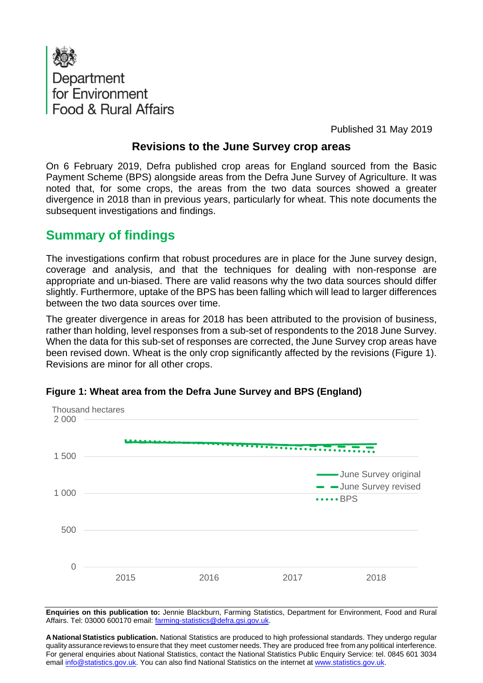

Published 31 May 2019

## **Revisions to the June Survey crop areas**

On 6 February 2019, Defra published crop areas for England sourced from the Basic Payment Scheme (BPS) alongside areas from the Defra June Survey of Agriculture. It was noted that, for some crops, the areas from the two data sources showed a greater divergence in 2018 than in previous years, particularly for wheat. This note documents the subsequent investigations and findings.

## **Summary of findings**

The investigations confirm that robust procedures are in place for the June survey design, coverage and analysis, and that the techniques for dealing with non-response are appropriate and un-biased. There are valid reasons why the two data sources should differ slightly. Furthermore, uptake of the BPS has been falling which will lead to larger differences between the two data sources over time.

The greater divergence in areas for 2018 has been attributed to the provision of business, rather than holding, level responses from a sub-set of respondents to the 2018 June Survey. When the data for this sub-set of responses are corrected, the June Survey crop areas have been revised down. Wheat is the only crop significantly affected by the revisions (Figure 1). Revisions are minor for all other crops.



**Figure 1: Wheat area from the Defra June Survey and BPS (England)** 

**Enquiries on this publication to:** Jennie Blackburn, Farming Statistics, Department for Environment, Food and Rural Affairs. Tel: 03000 600170 email: farming-statistics@defra.gsi.gov.uk.

**A National Statistics publication.** National Statistics are produced to high professional standards. They undergo regular quality assurance reviews to ensure that they meet customer needs. They are produced free from any political interference. For general enquiries about National Statistics, contact the National Statistics Public Enquiry Service: tel. 0845 601 3034 email info@statistics.gov.uk. You can also find National Statistics on the internet at www.statistics.gov.uk.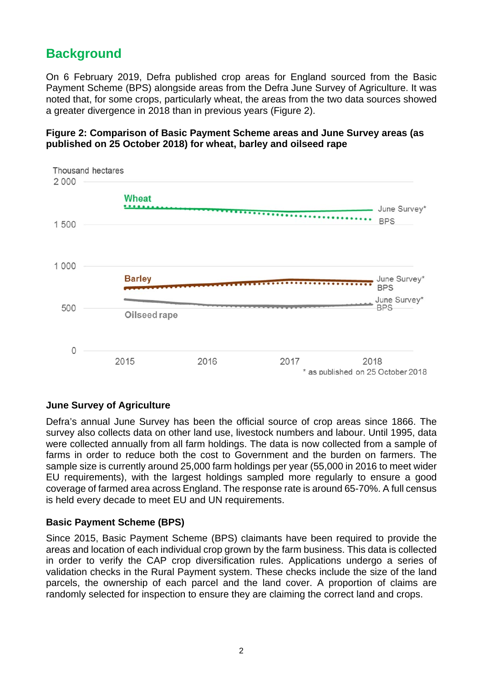# **Background**

On 6 February 2019, Defra published crop areas for England sourced from the Basic Payment Scheme (BPS) alongside areas from the Defra June Survey of Agriculture. It was noted that, for some crops, particularly wheat, the areas from the two data sources showed a greater divergence in 2018 than in previous years (Figure 2).





#### **June Survey of Agriculture**

Defra's annual June Survey has been the official source of crop areas since 1866. The survey also collects data on other land use, livestock numbers and labour. Until 1995, data were collected annually from all farm holdings. The data is now collected from a sample of farms in order to reduce both the cost to Government and the burden on farmers. The sample size is currently around 25,000 farm holdings per year (55,000 in 2016 to meet wider EU requirements), with the largest holdings sampled more regularly to ensure a good coverage of farmed area across England. The response rate is around 65-70%. A full census is held every decade to meet EU and UN requirements.

#### **Basic Payment Scheme (BPS)**

Since 2015, Basic Payment Scheme (BPS) claimants have been required to provide the areas and location of each individual crop grown by the farm business. This data is collected in order to verify the CAP crop diversification rules. Applications undergo a series of validation checks in the Rural Payment system. These checks include the size of the land parcels, the ownership of each parcel and the land cover. A proportion of claims are randomly selected for inspection to ensure they are claiming the correct land and crops.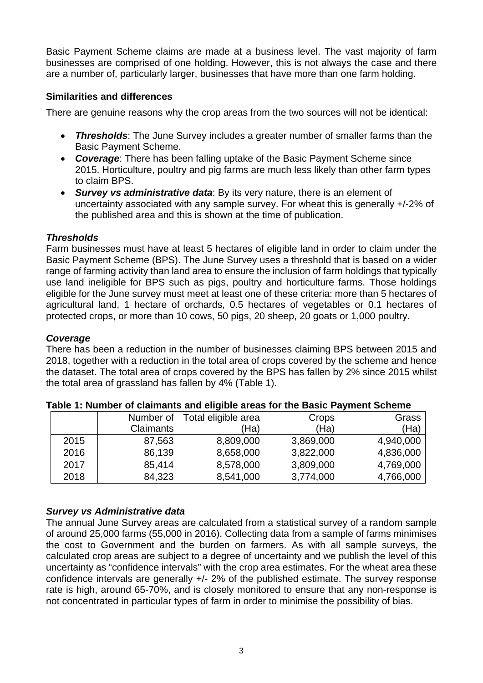Basic Payment Scheme claims are made at a business level. The vast majority of farm businesses are comprised of one holding. However, this is not always the case and there are a number of, particularly larger, businesses that have more than one farm holding.

#### **Similarities and differences**

There are genuine reasons why the crop areas from the two sources will not be identical:

- *Thresholds*: The June Survey includes a greater number of smaller farms than the Basic Payment Scheme.
- *Coverage*: There has been falling uptake of the Basic Payment Scheme since 2015. Horticulture, poultry and pig farms are much less likely than other farm types to claim BPS.
- *Survey vs administrative data*: By its very nature, there is an element of uncertainty associated with any sample survey. For wheat this is generally +/-2% of the published area and this is shown at the time of publication.

### *Thresholds*

Farm businesses must have at least 5 hectares of eligible land in order to claim under the Basic Payment Scheme (BPS). The June Survey uses a threshold that is based on a wider range of farming activity than land area to ensure the inclusion of farm holdings that typically use land ineligible for BPS such as pigs, poultry and horticulture farms. Those holdings eligible for the June survey must meet at least one of these criteria: more than 5 hectares of agricultural land, 1 hectare of orchards, 0.5 hectares of vegetables or 0.1 hectares of protected crops, or more than 10 cows, 50 pigs, 20 sheep, 20 goats or 1,000 poultry.

#### *Coverage*

There has been a reduction in the number of businesses claiming BPS between 2015 and 2018, together with a reduction in the total area of crops covered by the scheme and hence the dataset. The total area of crops covered by the BPS has fallen by 2% since 2015 whilst the total area of grassland has fallen by 4% (Table 1).

|      | Number of        | Total eligible area<br>Crops |           | Grass     |  |
|------|------------------|------------------------------|-----------|-----------|--|
|      | <b>Claimants</b> | 'Ha)                         | (Ha)      | (Ha)      |  |
| 2015 | 87,563           | 8,809,000                    | 3,869,000 | 4,940,000 |  |
| 2016 | 86,139           | 8,658,000                    | 3,822,000 | 4,836,000 |  |
| 2017 | 85,414           | 8,578,000                    | 3,809,000 | 4,769,000 |  |
| 2018 | 84,323           | 8,541,000                    | 3,774,000 | 4,766,000 |  |

#### **Table 1: Number of claimants and eligible areas for the Basic Payment Scheme**

### *Survey vs Administrative data*

The annual June Survey areas are calculated from a statistical survey of a random sample of around 25,000 farms (55,000 in 2016). Collecting data from a sample of farms minimises the cost to Government and the burden on farmers. As with all sample surveys, the calculated crop areas are subject to a degree of uncertainty and we publish the level of this uncertainty as "confidence intervals" with the crop area estimates. For the wheat area these confidence intervals are generally +/- 2% of the published estimate. The survey response rate is high, around 65-70%, and is closely monitored to ensure that any non-response is not concentrated in particular types of farm in order to minimise the possibility of bias.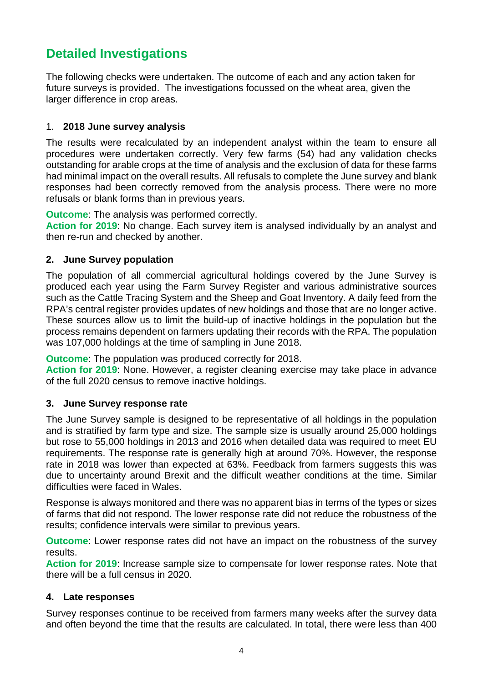# **Detailed Investigations**

The following checks were undertaken. The outcome of each and any action taken for future surveys is provided. The investigations focussed on the wheat area, given the larger difference in crop areas.

#### 1. **2018 June survey analysis**

The results were recalculated by an independent analyst within the team to ensure all procedures were undertaken correctly. Very few farms (54) had any validation checks outstanding for arable crops at the time of analysis and the exclusion of data for these farms had minimal impact on the overall results. All refusals to complete the June survey and blank responses had been correctly removed from the analysis process. There were no more refusals or blank forms than in previous years.

**Outcome**: The analysis was performed correctly.

**Action for 2019**: No change. Each survey item is analysed individually by an analyst and then re-run and checked by another.

#### **2. June Survey population**

The population of all commercial agricultural holdings covered by the June Survey is produced each year using the Farm Survey Register and various administrative sources such as the Cattle Tracing System and the Sheep and Goat Inventory. A daily feed from the RPA's central register provides updates of new holdings and those that are no longer active. These sources allow us to limit the build-up of inactive holdings in the population but the process remains dependent on farmers updating their records with the RPA. The population was 107,000 holdings at the time of sampling in June 2018.

**Outcome**: The population was produced correctly for 2018.

**Action for 2019**: None. However, a register cleaning exercise may take place in advance of the full 2020 census to remove inactive holdings.

#### **3. June Survey response rate**

The June Survey sample is designed to be representative of all holdings in the population and is stratified by farm type and size. The sample size is usually around 25,000 holdings but rose to 55,000 holdings in 2013 and 2016 when detailed data was required to meet EU requirements. The response rate is generally high at around 70%. However, the response rate in 2018 was lower than expected at 63%. Feedback from farmers suggests this was due to uncertainty around Brexit and the difficult weather conditions at the time. Similar difficulties were faced in Wales.

Response is always monitored and there was no apparent bias in terms of the types or sizes of farms that did not respond. The lower response rate did not reduce the robustness of the results; confidence intervals were similar to previous years.

**Outcome**: Lower response rates did not have an impact on the robustness of the survey results.

**Action for 2019**: Increase sample size to compensate for lower response rates. Note that there will be a full census in 2020.

#### **4. Late responses**

Survey responses continue to be received from farmers many weeks after the survey data and often beyond the time that the results are calculated. In total, there were less than 400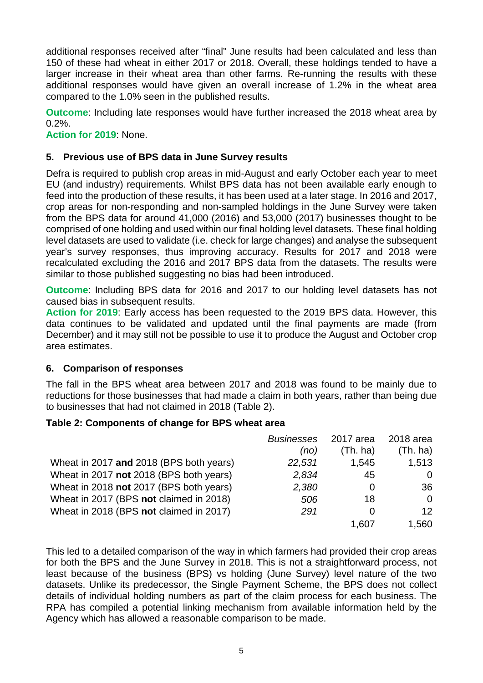additional responses received after "final" June results had been calculated and less than 150 of these had wheat in either 2017 or 2018. Overall, these holdings tended to have a larger increase in their wheat area than other farms. Re-running the results with these additional responses would have given an overall increase of 1.2% in the wheat area compared to the 1.0% seen in the published results.

**Outcome**: Including late responses would have further increased the 2018 wheat area by  $0.2\%$ .

**Action for 2019**: None.

#### **5. Previous use of BPS data in June Survey results**

Defra is required to publish crop areas in mid-August and early October each year to meet EU (and industry) requirements. Whilst BPS data has not been available early enough to feed into the production of these results, it has been used at a later stage. In 2016 and 2017, crop areas for non-responding and non-sampled holdings in the June Survey were taken from the BPS data for around 41,000 (2016) and 53,000 (2017) businesses thought to be comprised of one holding and used within our final holding level datasets. These final holding level datasets are used to validate (i.e. check for large changes) and analyse the subsequent year's survey responses, thus improving accuracy. Results for 2017 and 2018 were recalculated excluding the 2016 and 2017 BPS data from the datasets. The results were similar to those published suggesting no bias had been introduced.

**Outcome**: Including BPS data for 2016 and 2017 to our holding level datasets has not caused bias in subsequent results.

**Action for 2019**: Early access has been requested to the 2019 BPS data. However, this data continues to be validated and updated until the final payments are made (from December) and it may still not be possible to use it to produce the August and October crop area estimates.

#### **6. Comparison of responses**

The fall in the BPS wheat area between 2017 and 2018 was found to be mainly due to reductions for those businesses that had made a claim in both years, rather than being due to businesses that had not claimed in 2018 (Table 2).

#### **Table 2: Components of change for BPS wheat area**

|                                         | <b>Businesses</b> | 2017 area | 2018 area |
|-----------------------------------------|-------------------|-----------|-----------|
|                                         | (no)              | (Th. ha)  | (Th. ha)  |
| Wheat in 2017 and 2018 (BPS both years) | 22,531            | 1,545     | 1,513     |
| Wheat in 2017 not 2018 (BPS both years) | 2,834             | 45        |           |
| Wheat in 2018 not 2017 (BPS both years) | 2,380             | O         | 36        |
| Wheat in 2017 (BPS not claimed in 2018) | 506               | 18        | 0         |
| Wheat in 2018 (BPS not claimed in 2017) | 291               | O         | 12        |
|                                         |                   | 1.607     | 1,560     |

This led to a detailed comparison of the way in which farmers had provided their crop areas for both the BPS and the June Survey in 2018. This is not a straightforward process, not least because of the business (BPS) vs holding (June Survey) level nature of the two datasets. Unlike its predecessor, the Single Payment Scheme, the BPS does not collect details of individual holding numbers as part of the claim process for each business. The RPA has compiled a potential linking mechanism from available information held by the Agency which has allowed a reasonable comparison to be made.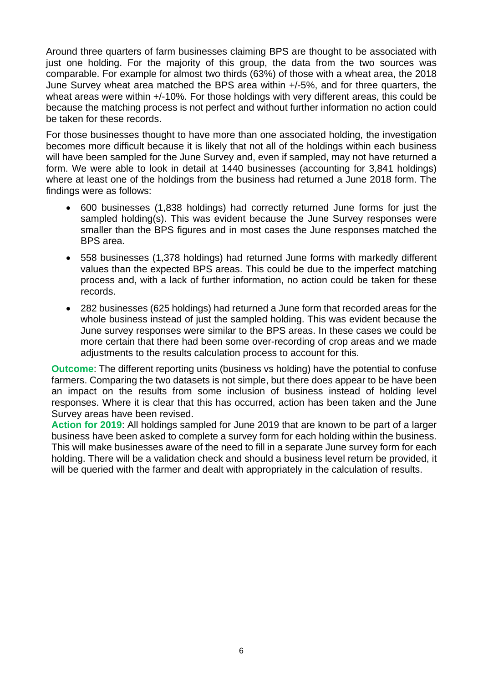Around three quarters of farm businesses claiming BPS are thought to be associated with just one holding. For the majority of this group, the data from the two sources was comparable. For example for almost two thirds (63%) of those with a wheat area, the 2018 June Survey wheat area matched the BPS area within +/-5%, and for three quarters, the wheat areas were within  $+/-10\%$ . For those holdings with very different areas, this could be because the matching process is not perfect and without further information no action could be taken for these records.

For those businesses thought to have more than one associated holding, the investigation becomes more difficult because it is likely that not all of the holdings within each business will have been sampled for the June Survey and, even if sampled, may not have returned a form. We were able to look in detail at 1440 businesses (accounting for 3,841 holdings) where at least one of the holdings from the business had returned a June 2018 form. The findings were as follows:

- 600 businesses (1,838 holdings) had correctly returned June forms for just the sampled holding(s). This was evident because the June Survey responses were smaller than the BPS figures and in most cases the June responses matched the BPS area.
- 558 businesses (1,378 holdings) had returned June forms with markedly different values than the expected BPS areas. This could be due to the imperfect matching process and, with a lack of further information, no action could be taken for these records.
- 282 businesses (625 holdings) had returned a June form that recorded areas for the whole business instead of just the sampled holding. This was evident because the June survey responses were similar to the BPS areas. In these cases we could be more certain that there had been some over-recording of crop areas and we made adjustments to the results calculation process to account for this.

**Outcome**: The different reporting units (business vs holding) have the potential to confuse farmers. Comparing the two datasets is not simple, but there does appear to be have been an impact on the results from some inclusion of business instead of holding level responses. Where it is clear that this has occurred, action has been taken and the June Survey areas have been revised.

**Action for 2019**: All holdings sampled for June 2019 that are known to be part of a larger business have been asked to complete a survey form for each holding within the business. This will make businesses aware of the need to fill in a separate June survey form for each holding. There will be a validation check and should a business level return be provided, it will be queried with the farmer and dealt with appropriately in the calculation of results.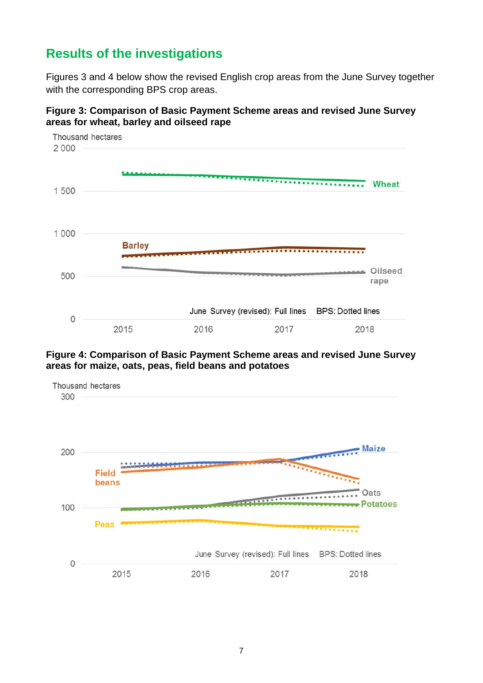# **Results of the investigations**

Figures 3 and 4 below show the revised English crop areas from the June Survey together with the corresponding BPS crop areas.



**Figure 3: Comparison of Basic Payment Scheme areas and revised June Survey areas for wheat, barley and oilseed rape** 

#### **Figure 4: Comparison of Basic Payment Scheme areas and revised June Survey areas for maize, oats, peas, field beans and potatoes**